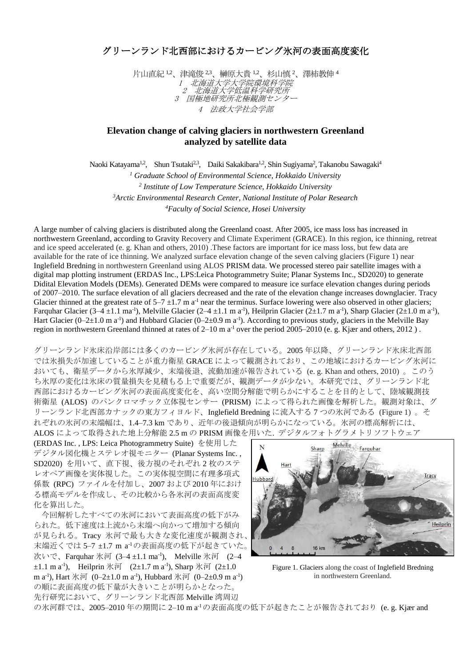## グリーンランド北西部におけるカービング氷河の表面高度変化

片山直紀 1,2、津滝俊 2,3、榊原大貴 1,2、杉山慎 2、澤柿教伸 4 1 北海道大学大学院環境科学院 2 北海道大学低温科学研究所 3 国極地研究所北極観測センター 4 法政大学社会学部

## **Elevation change of calving glaciers in northwestern Greenland analyzed by satellite data**

Naoki Katayama<sup>1,2</sup>, Shun Tsutaki<sup>2,3</sup>, Daiki Sakakibara<sup>1,2</sup>, Shin Sugiyama<sup>2</sup>, Takanobu Sawagaki<sup>4</sup>

 *Graduate School of Environmental Science, Hokkaido University Institute of Low Temperature Science, Hokkaido University Arctic Environmental Research Center, National Institute of Polar Research Faculty of Social Science, Hosei University*

A large number of calving glaciers is distributed along the Greenland coast. After 2005, ice mass loss has increased in northwestern Greenland, according to Gravity Recovery and Climate Experiment (GRACE). In this region, ice thinning, retreat and ice speed accelerated (e. g. Khan and others, 2010) .These factors are important for ice mass loss, but few data are available for the rate of ice thinning. We analyzed surface elevation change of the seven calving glaciers (Figure 1) near Inglefield Bredning in northwestern Greenland using ALOS PRISM data. We processed stereo pair satellite images with a digital map plotting instrument (ERDAS Inc., LPS:Leica Photogrammetry Suite; Planar Systems Inc., SD2020) to generate Didital Elevation Models (DEMs). Generated DEMs were compared to measure ice surface elevation changes during periods of 2007–2010. The surface elevation of all glaciers decreased and the rate of the elevation change increases downglacier. Tracy Glacier thinned at the greatest rate of  $5-7 \pm 1.7$  m a<sup>-1</sup> near the terminus. Surface lowering were also observed in other glaciers; Farquhar Glacier  $(3-4 \pm 1.1 \text{ ma}^{-1})$ , Melville Glacier  $(2-4 \pm 1.1 \text{ m a}^{-1})$ , Heilprin Glacier  $(2\pm 1.7 \text{ m a}^{-1})$ , Sharp Glacier  $(2\pm 1.0 \text{ m a}^{-1})$ , Hart Glacier (0–2 $\pm$ 1.0 m a<sup>-1</sup>) and Hubbard Glacier (0–2 $\pm$ 0.9 m a<sup>-1</sup>). According to previous study, glaciers in the Melville Bay region in northwestern Greenland thinned at rates of 2–10 m a<sup>-1</sup> over the period 2005–2010 (e. g. Kjær and others, 2012).

グリーンランド氷床沿岸部には多くのカービング氷河が存在している。2005 年以降、グリーンランド氷床北西部 では氷損失が加速していることが重力衛星 GRACE によって観測されており、この地域におけるカービング氷河に おいても、衛星データから氷厚減少、末端後退、流動加速が報告されている (e. g. Khan and others, 2010) 。このう ち氷厚の変化は氷床の質量損失を見積もる上で重要だが、観測データが少ない。本研究では、グリーンランド北 西部におけるカービング氷河の表面高度変化を、高い空間分解能で明らかにすることを目的として、陸域観測技 術衛星 (ALOS) のパンクロマチック立体視センサー (PRISM) によって得られた画像を解析した。観測対象は、グ リーンランド北西部カナックの東方フィヨルド、Inglefield Bredning に流入する 7 つの氷河である (Figure 1) 。そ れぞれの氷河の末端幅は、1.4–7.3 km であり、近年の後退傾向が明らかになっている。氷河の標高解析には、 ALOS によって取得された地上分解能 2.5 m の PRISM 画像を用いた. デジタルフォトグラメトリソフトウェア

(ERDAS Inc. , LPS: Leica Photogrammetry Suite) を使用した デジタル図化機とステレオ視モニター (Planar Systems Inc. , SD2020) を用いて、直下視、後方視のそれぞれ 2 枚のステ レオペア画像を実体視した。この実体視空間に有理多項式 係数 (RPC) ファイルを付加し、2007 および 2010 年におけ る標高モデルを作成し、その比較から各氷河の表面高度変 化を算出した。

今回解析したすべての氷河において表面高度の低下がみ られた。低下速度は上流から末端へ向かって増加する傾向 が見られる。Tracy 氷河で最も大きな変化速度が観測され、 末端近くでは 5–7 ±1.7 m a -1の表面高度の低下が起きていた。 次いで、Farquhar 氷河 (3–4±1.1 ma<sup>-1</sup>), Melville 氷河 (2–4  $\pm 1.1$  m a<sup>-1</sup>), Heilprin 氷河 (2 $\pm 1.7$  m a<sup>-1</sup>), Sharp 氷河 (2 $\pm 1.0$ ) m a<sup>-1</sup>), Hart 氷河 (0–2±1.0 m a<sup>-1</sup>), Hubbard 氷河 (0–2±0.9 m a<sup>-1</sup>) の順に表面高度の低下量が大きいことが明らかとなった。 先行研究において、グリーンランド北西部 Melville 湾周辺



Figure 1. Glaciers along the coast of Inglefield Bredning in northwestern Greenland.

の氷河群では、2005-2010年の期間に 2-10 m a<sup>-1</sup>の表面高度の低下が起きたことが報告されており (e.g. Kjær and